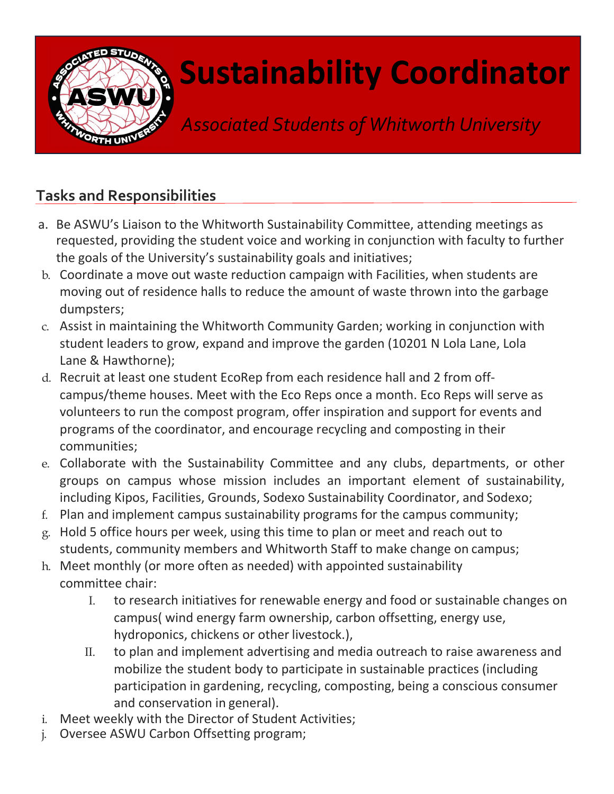

## Sustainability Coordinator

Associated Students of Whitworth University

## Tasks and Responsibilities

- a. Be ASWU's Liaison to the Whitworth Sustainability Committee, attending meetings as requested, providing the student voice and working in conjunction with faculty to further the goals of the University's sustainability goals and initiatives;
- b. Coordinate a move out waste reduction campaign with Facilities, when students are moving out of residence halls to reduce the amount of waste thrown into the garbage dumpsters;
- c. Assist in maintaining the Whitworth Community Garden; working in conjunction with student leaders to grow, expand and improve the garden (10201 N Lola Lane, Lola Lane & Hawthorne);
- d. Recruit at least one student EcoRep from each residence hall and 2 from offcampus/theme houses. Meet with the Eco Reps once a month. Eco Reps will serve as volunteers to run the compost program, offer inspiration and support for events and programs of the coordinator, and encourage recycling and composting in their communities;
- e. Collaborate with the Sustainability Committee and any clubs, departments, or other groups on campus whose mission includes an important element of sustainability, including Kipos, Facilities, Grounds, Sodexo Sustainability Coordinator, and Sodexo;
- f. Plan and implement campus sustainability programs for the campus community;
- g. Hold 5 office hours per week, using this time to plan or meet and reach out to students, community members and Whitworth Staff to make change on campus;
- h. Meet monthly (or more often as needed) with appointed sustainability committee chair:
	- I. to research initiatives for renewable energy and food or sustainable changes on campus( wind energy farm ownership, carbon offsetting, energy use, hydroponics, chickens or other livestock.),
	- II. to plan and implement advertising and media outreach to raise awareness and mobilize the student body to participate in sustainable practices (including participation in gardening, recycling, composting, being a conscious consumer and conservation in general).
- i. Meet weekly with the Director of Student Activities;
- j. Oversee ASWU Carbon Offsetting program;